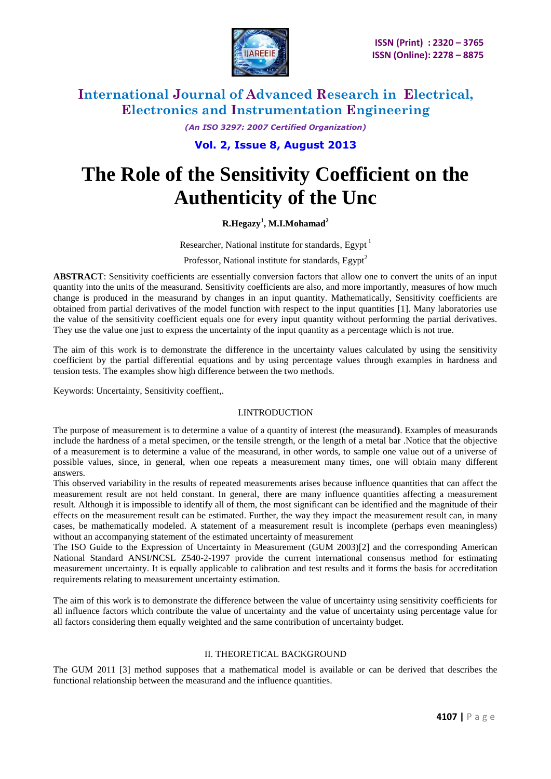

*(An ISO 3297: 2007 Certified Organization)*

**Vol. 2, Issue 8, August 2013**

# **The Role of the Sensitivity Coefficient on the Authenticity of the Unc**

## **R.Hegazy<sup>1</sup> , M.I.Mohamad<sup>2</sup>**

Researcher, National institute for standards, Egypt<sup>1</sup>

Professor, National institute for standards, Egypt<sup>2</sup>

**ABSTRACT**: Sensitivity coefficients are essentially conversion factors that allow one to convert the units of an input quantity into the units of the measurand. Sensitivity coefficients are also, and more importantly, measures of how much change is produced in the measurand by changes in an input quantity. Mathematically, Sensitivity coefficients are obtained from partial derivatives of the model function with respect to the input quantities [1]. Many laboratories use the value of the sensitivity coefficient equals one for every input quantity without performing the partial derivatives. They use the value one just to express the uncertainty of the input quantity as a percentage which is not true.

The aim of this work is to demonstrate the difference in the uncertainty values calculated by using the sensitivity coefficient by the partial differential equations and by using percentage values through examples in hardness and tension tests. The examples show high difference between the two methods.

Keywords: Uncertainty, Sensitivity coeffient,.

### I.INTRODUCTION

The purpose of measurement is to determine a value of a quantity of interest (the measurand**)**. Examples of measurands include the hardness of a metal specimen, or the tensile strength, or the length of a metal bar .Notice that the objective of a measurement is to determine a value of the measurand, in other words, to sample one value out of a universe of possible values, since, in general, when one repeats a measurement many times, one will obtain many different answers.

This observed variability in the results of repeated measurements arises because influence quantities that can affect the measurement result are not held constant. In general, there are many influence quantities affecting a measurement result. Although it is impossible to identify all of them, the most significant can be identified and the magnitude of their effects on the measurement result can be estimated. Further, the way they impact the measurement result can, in many cases, be mathematically modeled. A statement of a measurement result is incomplete (perhaps even meaningless) without an accompanying statement of the estimated uncertainty of measurement

The ISO Guide to the Expression of Uncertainty in Measurement (GUM 2003)[2] and the corresponding American National Standard ANSI/NCSL Z540-2-1997 provide the current international consensus method for estimating measurement uncertainty. It is equally applicable to calibration and test results and it forms the basis for accreditation requirements relating to measurement uncertainty estimation.

The aim of this work is to demonstrate the difference between the value of uncertainty using sensitivity coefficients for all influence factors which contribute the value of uncertainty and the value of uncertainty using percentage value for all factors considering them equally weighted and the same contribution of uncertainty budget.

### II. THEORETICAL BACKGROUND

The GUM 2011 [3] method supposes that a mathematical model is available or can be derived that describes the functional relationship between the measurand and the influence quantities.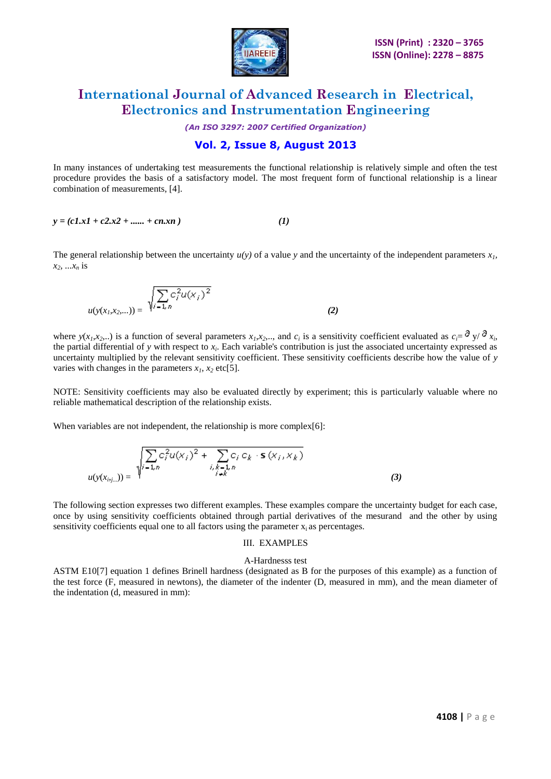

*(An ISO 3297: 2007 Certified Organization)*

# **Vol. 2, Issue 8, August 2013**

In many instances of undertaking test measurements the functional relationship is relatively simple and often the test procedure provides the basis of a satisfactory model. The most frequent form of functional relationship is a linear combination of measurements, [4].

$$
y = (c1.x1 + c2.x2 + \dots + cn.xn)
$$
 (1)

The general relationship between the uncertainty  $u(y)$  of a value y and the uncertainty of the independent parameters  $x_i$ ,  $x_2, \ldots, x_n$  is

$$
u(y(x_1, x_2,...)) = \sqrt{\sum_{i=1, n} c_i^2 u(x_i)^2}
$$
 (2)

where  $y(x_1, x_2, ...)$  is a function of several parameters  $x_1, x_2, ...$ , and  $c_i$  is a sensitivity coefficient evaluated as  $c_i = \partial y / \partial x_i$ , the partial differential of  $y$  with respect to  $x_i$ . Each variable's contribution is just the associated uncertainty expressed as uncertainty multiplied by the relevant sensitivity coefficient. These sensitivity coefficients describe how the value of *y* varies with changes in the parameters  $x_1$ ,  $x_2$  etc[5].

NOTE: Sensitivity coefficients may also be evaluated directly by experiment; this is particularly valuable where no reliable mathematical description of the relationship exists.

When variables are not independent, the relationship is more complex[6]:

$$
u(y(x_{i:j...})) = \sqrt{\sum_{i=1,n}^{n} c_i^2 u(x_i)^2 + \sum_{\substack{i,k=1,n\\i\neq k}}^{n} c_i c_k \cdot \mathbf{s}(x_i, x_k)}
$$
(3)

The following section expresses two different examples. These examples compare the uncertainty budget for each case, once by using sensitivity coefficients obtained through partial derivatives of the mesurand and the other by using sensitivity coefficients equal one to all factors using the parameter  $x_i$  as percentages.

#### III. EXAMPLES

#### A-Hardnesss test

ASTM E10[7] equation 1 defines Brinell hardness (designated as B for the purposes of this example) as a function of the test force (F, measured in newtons), the diameter of the indenter (D, measured in mm), and the mean diameter of the indentation (d, measured in mm):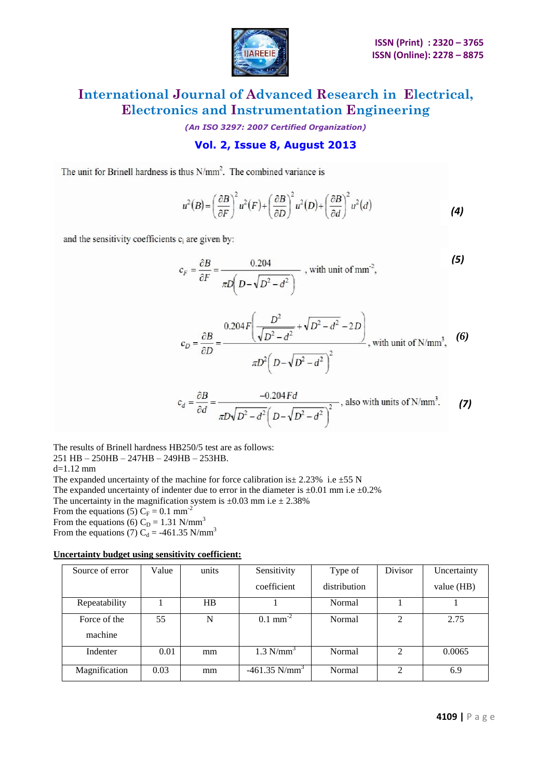

*(An ISO 3297: 2007 Certified Organization)*

# **Vol. 2, Issue 8, August 2013**

The unit for Brinell hardness is thus  $N/mm<sup>2</sup>$ . The combined variance is

$$
u^{2}(B) = \left(\frac{\partial B}{\partial F}\right)^{2} u^{2}(F) + \left(\frac{\partial B}{\partial D}\right)^{2} u^{2}(D) + \left(\frac{\partial B}{\partial d}\right)^{2} u^{2}(d)
$$
 (4)

and the sensitivity coefficients c<sub>i</sub> are given by:

$$
c_F = \frac{\partial B}{\partial F} = \frac{0.204}{\pi D \left(D - \sqrt{D^2 - d^2}\right)}
$$
, with unit of mm<sup>2</sup>, (5)

$$
c_D = \frac{\partial B}{\partial D} = \frac{0.204 F \left( \frac{D^2}{\sqrt{D^2 - d^2}} + \sqrt{D^2 - d^2} - 2D \right)}{\pi D^2 \left( D - \sqrt{D^2 - d^2} \right)^2},
$$
 with unit of N/mm<sup>3</sup>, (6)

$$
c_d = \frac{\partial B}{\partial d} = \frac{-0.204 Fd}{\pi D \sqrt{D^2 - d^2} \left(D - \sqrt{D^2 - d^2}\right)^2}
$$
, also with units of N/mm<sup>3</sup>. (7)

The results of Brinell hardness HB250/5 test are as follows: 251 HB – 250HB – 247HB – 249HB – 253HB.

d=1.12 mm The expanded uncertainty of the machine for force calibration is  $\pm 2.23\%$  i.e  $\pm 55$  N The expanded uncertainty of indenter due to error in the diameter is  $\pm 0.01$  mm i.e  $\pm 0.2$ % The uncertainty in the magnification system is  $\pm 0.03$  mm i.e  $\pm 2.38\%$ From the equations (5)  $C_F = 0.1$  mm<sup>-2</sup> From the equations (6)  $C_D = 1.31$  N/mm<sup>3</sup> From the equations (7) C<sub>d</sub> = -461.35 N/mm<sup>3</sup>

### **Uncertainty budget using sensitivity coefficient:**

| Source of error | Value | units | Sensitivity                 | Type of      | Divisor        | Uncertainty |
|-----------------|-------|-------|-----------------------------|--------------|----------------|-------------|
|                 |       |       | coefficient                 | distribution |                | value (HB)  |
| Repeatability   |       | HB    |                             | Normal       |                |             |
| Force of the    | 55    | N     | $0.1 \text{ mm}^{-2}$       | Normal       | $\mathfrak{D}$ | 2.75        |
| machine         |       |       |                             |              |                |             |
| Indenter        | 0.01  | mm    | $1.3$ N/mm <sup>3</sup>     | Normal       | 2              | 0.0065      |
| Magnification   | 0.03  | mm    | $-461.35$ N/mm <sup>3</sup> | Normal       | $\mathfrak{D}$ | 6.9         |